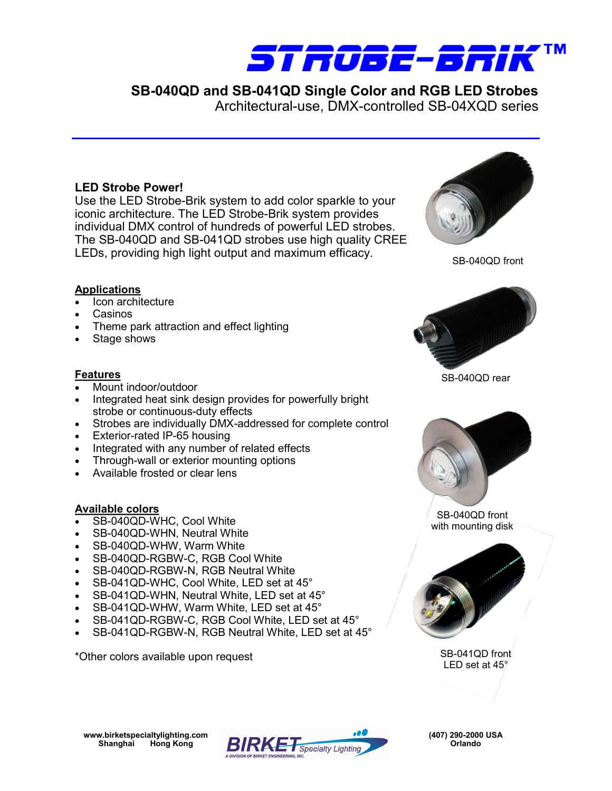

Architectural-use, DMX-controlled SB-04XQD series

### **LED Strobe Power!**

Use the LED Strobe-Brik system to add color sparkle to your iconic architecture. The LED Strobe-Brik system provides individual DMX control of hundreds of powerful LED strobes. The SB-040QD and SB-041QD strobes use high quality CREE LEDs, providing high light output and maximum efficacy.



SB-040QD front

#### **Applications**

- Icon architecture
- Casinos
- Theme park attraction and effect lighting
- Stage shows

#### **Features**

- Mount indoor/outdoor
- Integrated heat sink design provides for powerfully bright strobe or continuous-duty effects
- Strobes are individually DMX-addressed for complete control
- Exterior-rated IP-65 housing
- Integrated with any number of related effects
- Through-wall or exterior mounting options
- Available frosted or clear lens

#### **Available colors**

- SB-040QD-WHC, Cool White
- SB-040QD-WHN, Neutral White
- SB-040QD-WHW, Warm White
- SB-040QD-RGBW-C, RGB Cool White
- SB-040QD-RGBW-N, RGB Neutral White
- SB-041QD-WHC, Cool White, LED set at 45°
- SB-041QD-WHN, Neutral White, LED set at 45°
- SB-041QD-WHW, Warm White, LED set at 45°
- SB-041QD-RGBW-C, RGB Cool White, LED set at 45°
- SB-041QD-RGBW-N, RGB Neutral White, LED set at 45°

\*Other colors available upon request SB-041QD front

SB-040QD rear



SB-040QD front with mounting disk



LED set at 45°

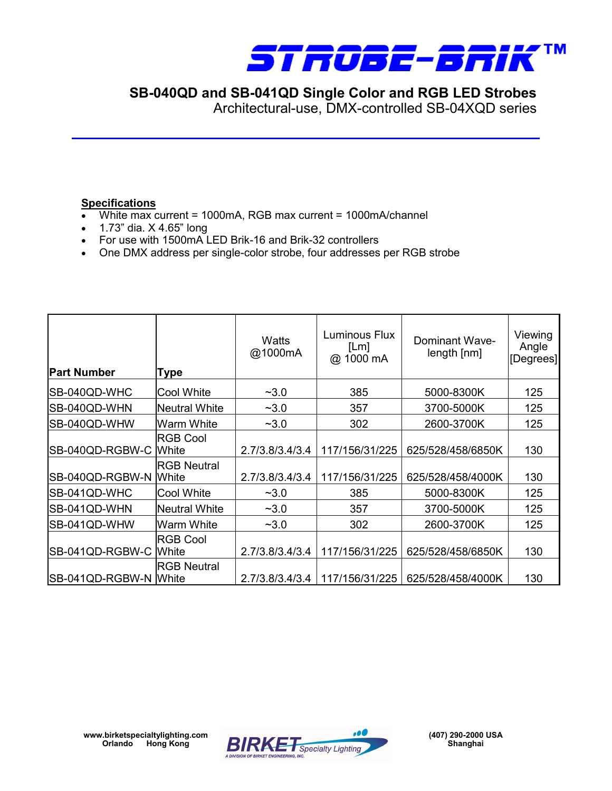

Architectural-use, DMX-controlled SB-04XQD series

### **Specifications**

- White max current = 1000mA, RGB max current = 1000mA/channel
- 1.73" dia. X 4.65" long
- For use with 1500mA LED Brik-16 and Brik-32 controllers
- One DMX address per single-color strobe, four addresses per RGB strobe

| <b>Part Number</b>    | Type               | Watts<br>@1000mA | Luminous Flux<br>[Lm]<br>@ 1000 mA | Dominant Wave-<br>length[nm] | Viewing<br>Angle<br>[Degrees] |
|-----------------------|--------------------|------------------|------------------------------------|------------------------------|-------------------------------|
| SB-040QD-WHC          | Cool White         | $-3.0$           | 385                                | 5000-8300K                   | 125                           |
| SB-040QD-WHN          | Neutral White      | $-3.0$           | 357                                | 3700-5000K                   | 125                           |
| SB-040QD-WHW          | Warm White         | $-3.0$           | 302                                | 2600-3700K                   | 125                           |
| SB-040QD-RGBW-C White | <b>RGB Cool</b>    | 2.7/3.8/3.4/3.4  | 117/156/31/225                     | 625/528/458/6850K            | 130                           |
| SB-040QD-RGBW-N White | <b>RGB Neutral</b> | 2.7/3.8/3.4/3.4  | 117/156/31/225                     | 625/528/458/4000K            | 130                           |
| SB-041QD-WHC          | Cool White         | $-3.0$           | 385                                | 5000-8300K                   | 125                           |
| SB-041QD-WHN          | Neutral White      | $-3.0$           | 357                                | 3700-5000K                   | 125                           |
| SB-041QD-WHW          | Warm White         | $-3.0$           | 302                                | 2600-3700K                   | 125                           |
| SB-041QD-RGBW-C White | <b>RGB Cool</b>    | 2.7/3.8/3.4/3.4  | 117/156/31/225                     | 625/528/458/6850K            | 130                           |
| SB-041QD-RGBW-N White | <b>RGB Neutral</b> | 2.7/3.8/3.4/3.4  | 117/156/31/225                     | 625/528/458/4000K            | 130                           |

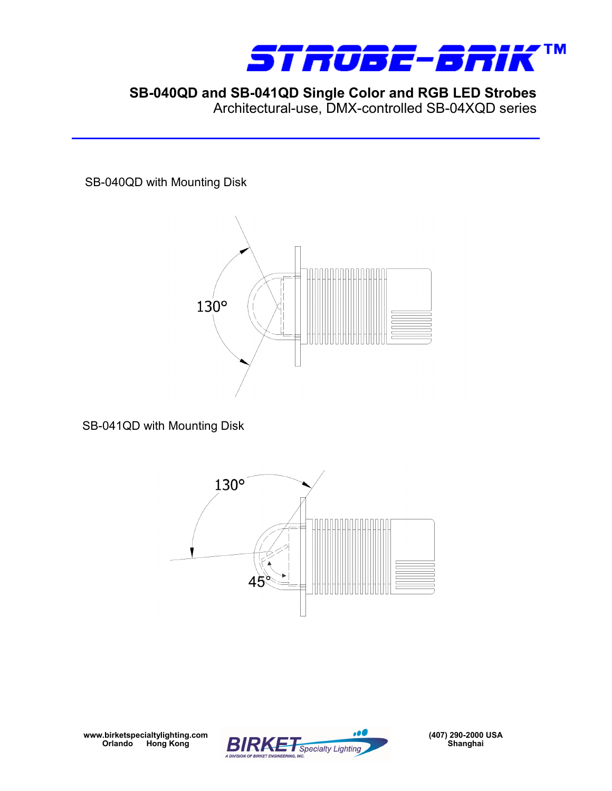

Architectural-use, DMX-controlled SB-04XQD series

SB-040QD with Mounting Disk



SB-041QD with Mounting Disk